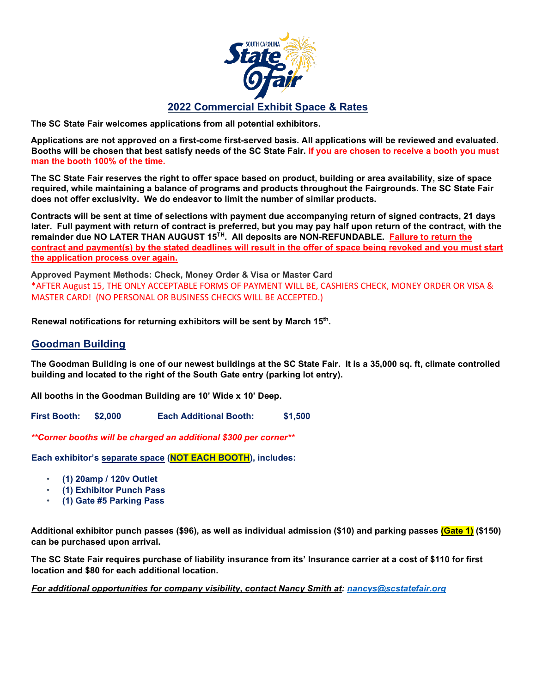

**The SC State Fair welcomes applications from all potential exhibitors.** 

**Applications are not approved on a first-come first-served basis. All applications will be reviewed and evaluated. Booths will be chosen that best satisfy needs of the SC State Fair. If you are chosen to receive a booth you must man the booth 100% of the time.**

**The SC State Fair reserves the right to offer space based on product, building or area availability, size of space required, while maintaining a balance of programs and products throughout the Fairgrounds. The SC State Fair does not offer exclusivity. We do endeavor to limit the number of similar products.**

**Contracts will be sent at time of selections with payment due accompanying return of signed contracts, 21 days later. Full payment with return of contract is preferred, but you may pay half upon return of the contract, with the**  remainder due NO LATER THAN AUGUST 15<sup>TH</sup>. All deposits are NON-REFUNDABLE. Failure to return the **contract and payment(s) by the stated deadlines will result in the offer of space being revoked and you must start the application process over again.**

**Approved Payment Methods: Check, Money Order & Visa or Master Card** \*AFTER August 15, THE ONLY ACCEPTABLE FORMS OF PAYMENT WILL BE, CASHIERS CHECK, MONEY ORDER OR VISA & MASTER CARD! (NO PERSONAL OR BUSINESS CHECKS WILL BE ACCEPTED.)

**Renewal notifications for returning exhibitors will be sent by March 15th.**

## **Goodman Building**

**The Goodman Building is one of our newest buildings at the SC State Fair. It is a 35,000 sq. ft, climate controlled building and located to the right of the South Gate entry (parking lot entry).**

**All booths in the Goodman Building are 10' Wide x 10' Deep.**

**First Booth: \$2,000 Each Additional Booth: \$1,500** 

*\*\*Corner booths will be charged an additional \$300 per corner\*\** 

**Each exhibitor's separate space (NOT EACH BOOTH), includes:**

- **(1) 20amp / 120v Outlet**
- **(1) Exhibitor Punch Pass**
- **(1) Gate #5 Parking Pass**

**Additional exhibitor punch passes (\$96), as well as individual admission (\$10) and parking passes (Gate 1) (\$150) can be purchased upon arrival.**

**The SC State Fair requires purchase of liability insurance from its' Insurance carrier at a cost of \$110 for first location and \$80 for each additional location.** 

*For additional opportunities for company visibility, contact Nancy Smith at: [nancys@scstatefair.org](mailto:nancys@scstatefair.org)*